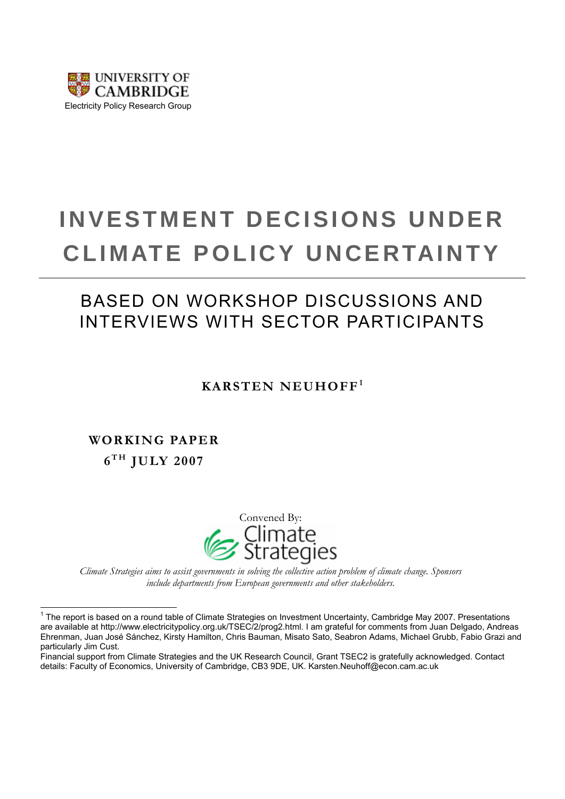

# **INVESTMENT DECISIONS UNDER CLIMATE POLICY UNCERTAINTY**

## BASED ON WORKSHOP DISCUSSIONS AND INTERVIEWS WITH SECTOR PARTICIPANTS

## **KARSTEN NEUHOFF[1](#page-0-0)**

**WORKING PAPER 6 T H JULY 2007** 

 $\overline{a}$ 



*Climate Strategies aims to assist governments in solving the collective action problem of climate change. Sponsors include departments from European governments and other stakeholders.* 

<span id="page-0-0"></span><sup>&</sup>lt;sup>1</sup> The report is based on a round table of Climate Strategies on Investment Uncertainty, Cambridge May 2007. Presentations are available at http://www.electricitypolicy.org.uk/TSEC/2/prog2.html. I am grateful for comments from Juan Delgado, Andreas Ehrenman, Juan José Sánchez, Kirsty Hamilton, Chris Bauman, Misato Sato, Seabron Adams, Michael Grubb, Fabio Grazi and particularly Jim Cust.

Financial support from Climate Strategies and the UK Research Council, Grant TSEC2 is gratefully acknowledged. Contact details: Faculty of Economics, University of Cambridge, CB3 9DE, UK. Karsten.Neuhoff@econ.cam.ac.uk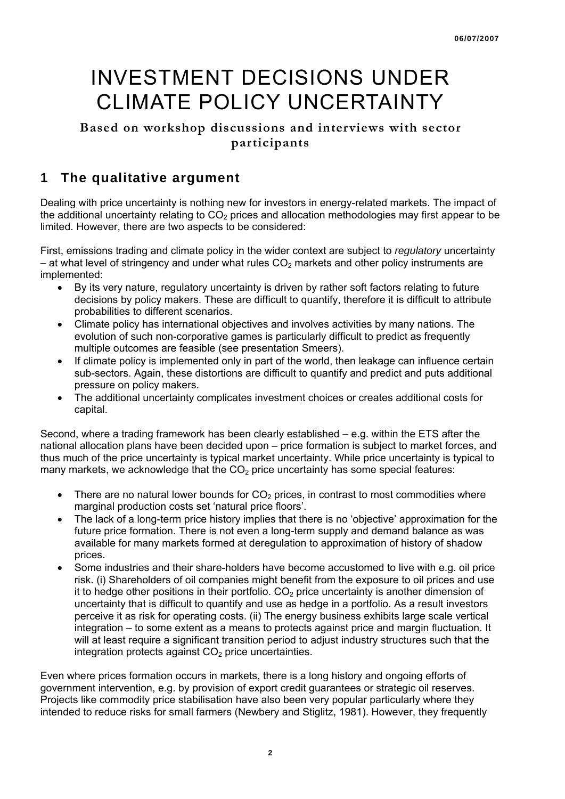## INVESTMENT DECISIONS UNDER CLIMATE POLICY UNCERTAINTY

### **Based on workshop discussions and interviews with sector participants**

## **1 The qualitative argument**

Dealing with price uncertainty is nothing new for investors in energy-related markets. The impact of the additional uncertainty relating to  $CO<sub>2</sub>$  prices and allocation methodologies may first appear to be limited. However, there are two aspects to be considered:

First, emissions trading and climate policy in the wider context are subject to *regulatory* uncertainty – at what level of stringency and under what rules  $CO<sub>2</sub>$  markets and other policy instruments are implemented:

- By its very nature, regulatory uncertainty is driven by rather soft factors relating to future decisions by policy makers. These are difficult to quantify, therefore it is difficult to attribute probabilities to different scenarios.
- Climate policy has international objectives and involves activities by many nations. The evolution of such non-corporative games is particularly difficult to predict as frequently multiple outcomes are feasible (see presentation Smeers).
- If climate policy is implemented only in part of the world, then leakage can influence certain sub-sectors. Again, these distortions are difficult to quantify and predict and puts additional pressure on policy makers.
- The additional uncertainty complicates investment choices or creates additional costs for capital.

Second, where a trading framework has been clearly established – e.g. within the ETS after the national allocation plans have been decided upon – price formation is subject to market forces, and thus much of the price uncertainty is typical market uncertainty. While price uncertainty is typical to many markets, we acknowledge that the  $CO<sub>2</sub>$  price uncertainty has some special features:

- There are no natural lower bounds for  $CO<sub>2</sub>$  prices, in contrast to most commodities where marginal production costs set 'natural price floors'.
- The lack of a long-term price history implies that there is no 'objective' approximation for the future price formation. There is not even a long-term supply and demand balance as was available for many markets formed at deregulation to approximation of history of shadow prices.
- Some industries and their share-holders have become accustomed to live with e.g. oil price risk. (i) Shareholders of oil companies might benefit from the exposure to oil prices and use it to hedge other positions in their portfolio.  $CO<sub>2</sub>$  price uncertainty is another dimension of uncertainty that is difficult to quantify and use as hedge in a portfolio. As a result investors perceive it as risk for operating costs. (ii) The energy business exhibits large scale vertical integration – to some extent as a means to protects against price and margin fluctuation. It will at least require a significant transition period to adjust industry structures such that the integration protects against  $CO<sub>2</sub>$  price uncertainties.

Even where prices formation occurs in markets, there is a long history and ongoing efforts of government intervention, e.g. by provision of export credit guarantees or strategic oil reserves. Projects like commodity price stabilisation have also been very popular particularly where they intended to reduce risks for small farmers (Newbery and Stiglitz, 1981). However, they frequently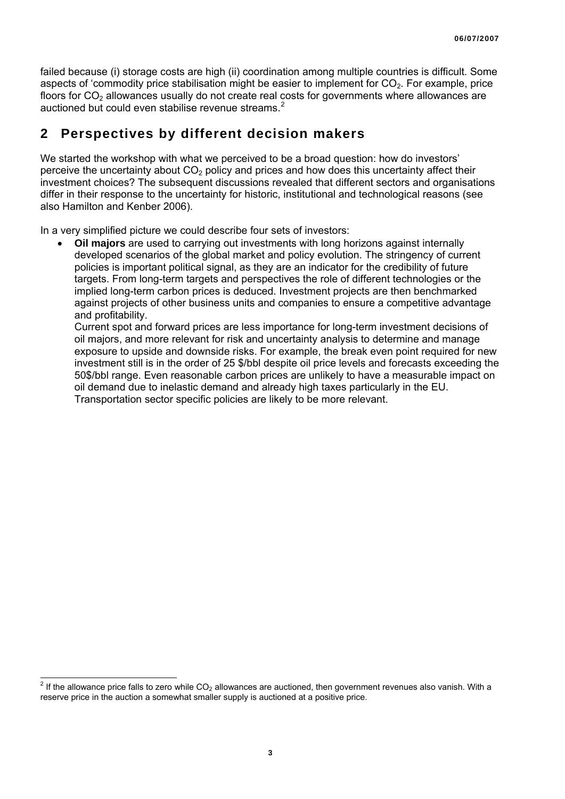failed because (i) storage costs are high (ii) coordination among multiple countries is difficult. Some aspects of 'commodity price stabilisation might be easier to implement for  $CO<sub>2</sub>$ . For example, price floors for  $CO<sub>2</sub>$  allowances usually do not create real costs for governments where allowances are auctioned but could even stabilise revenue streams.<sup>[2](#page-2-0)</sup>

## **2 Perspectives by different decision makers**

We started the workshop with what we perceived to be a broad question: how do investors' perceive the uncertainty about  $CO<sub>2</sub>$  policy and prices and how does this uncertainty affect their investment choices? The subsequent discussions revealed that different sectors and organisations differ in their response to the uncertainty for historic, institutional and technological reasons (see also Hamilton and Kenber 2006).

In a very simplified picture we could describe four sets of investors:

• **Oil majors** are used to carrying out investments with long horizons against internally developed scenarios of the global market and policy evolution. The stringency of current policies is important political signal, as they are an indicator for the credibility of future targets. From long-term targets and perspectives the role of different technologies or the implied long-term carbon prices is deduced. Investment projects are then benchmarked against projects of other business units and companies to ensure a competitive advantage and profitability.

Current spot and forward prices are less importance for long-term investment decisions of oil majors, and more relevant for risk and uncertainty analysis to determine and manage exposure to upside and downside risks. For example, the break even point required for new investment still is in the order of 25 \$/bbl despite oil price levels and forecasts exceeding the 50\$/bbl range. Even reasonable carbon prices are unlikely to have a measurable impact on oil demand due to inelastic demand and already high taxes particularly in the EU. Transportation sector specific policies are likely to be more relevant.

<span id="page-2-0"></span> $\frac{2}{10}$  If the allowance price falls to zero while CO<sub>2</sub> allowances are auctioned, then government revenues also vanish. With a reserve price in the auction a somewhat smaller supply is auctioned at a positive price.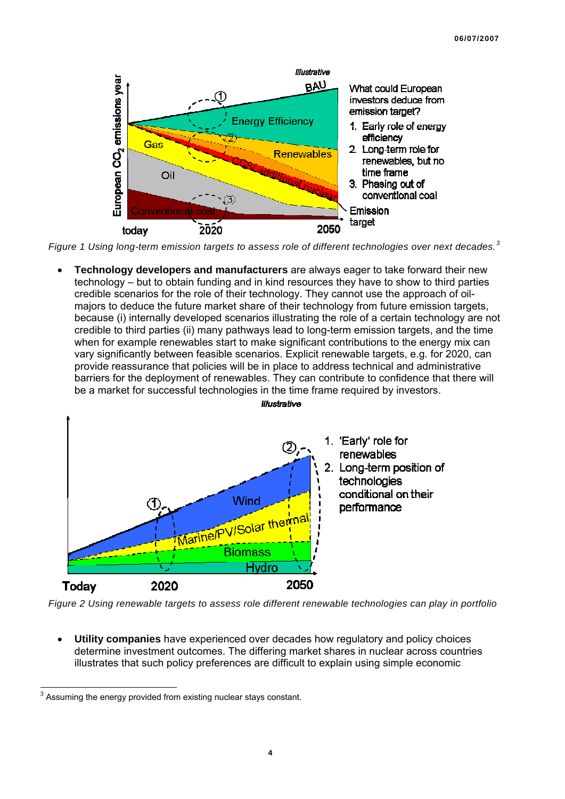

*Figure 1 Using long-term emission targets to assess role of different technologies over next decades.[3](#page-3-0)*

• **Technology developers and manufacturers** are always eager to take forward their new technology – but to obtain funding and in kind resources they have to show to third parties credible scenarios for the role of their technology. They cannot use the approach of oilmajors to deduce the future market share of their technology from future emission targets, because (i) internally developed scenarios illustrating the role of a certain technology are not credible to third parties (ii) many pathways lead to long-term emission targets, and the time when for example renewables start to make significant contributions to the energy mix can vary significantly between feasible scenarios. Explicit renewable targets, e.g. for 2020, can provide reassurance that policies will be in place to address technical and administrative barriers for the deployment of renewables. They can contribute to confidence that there will be a market for successful technologies in the time frame required by investors.



*Figure 2 Using renewable targets to assess role different renewable technologies can play in portfolio* 

• **Utility companies** have experienced over decades how regulatory and policy choices determine investment outcomes. The differing market shares in nuclear across countries illustrates that such policy preferences are difficult to explain using simple economic

<span id="page-3-0"></span>**EXECUTE 13**<br><sup>3</sup> Assuming the energy provided from existing nuclear stays constant.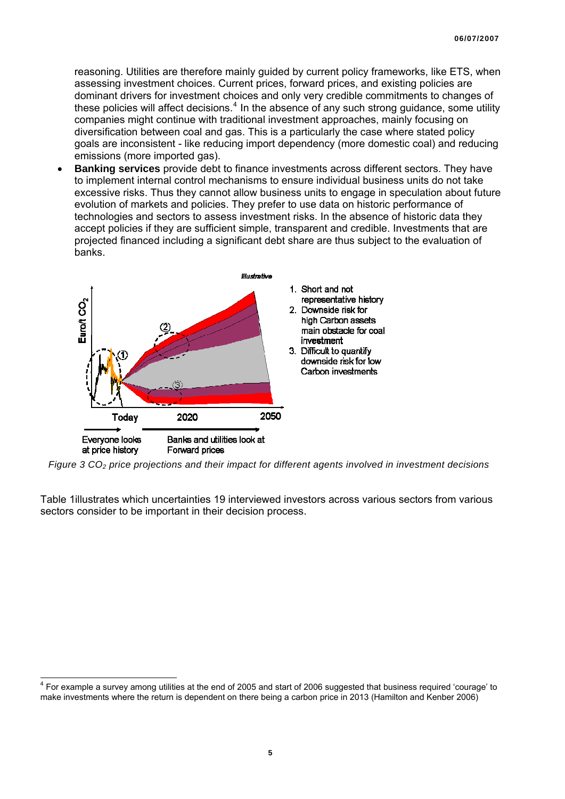reasoning. Utilities are therefore mainly guided by current policy frameworks, like ETS, when assessing investment choices. Current prices, forward prices, and existing policies are dominant drivers for investment choices and only very credible commitments to changes of these policies will affect decisions. $4$  In the absence of any such strong guidance, some utility companies might continue with traditional investment approaches, mainly focusing on diversification between coal and gas. This is a particularly the case where stated policy goals are inconsistent - like reducing import dependency (more domestic coal) and reducing emissions (more imported gas).

• **Banking services** provide debt to finance investments across different sectors. They have to implement internal control mechanisms to ensure individual business units do not take excessive risks. Thus they cannot allow business units to engage in speculation about future evolution of markets and policies. They prefer to use data on historic performance of technologies and sectors to assess investment risks. In the absence of historic data they accept policies if they are sufficient simple, transparent and credible. Investments that are projected financed including a significant debt share are thus subject to the evaluation of banks.



*Figure 3 CO2 price projections and their impact for different agents involved in investment decisions* 

[Table 1](#page-5-0)illustrates which uncertainties 19 interviewed investors across various sectors from various sectors consider to be important in their decision process.

<span id="page-4-0"></span><sup>————————————————————&</sup>lt;br><sup>4</sup> For example a survey among utilities at the end of 2005 and start of 2006 suggested that business required 'courage' to make investments where the return is dependent on there being a carbon price in 2013 (Hamilton and Kenber 2006)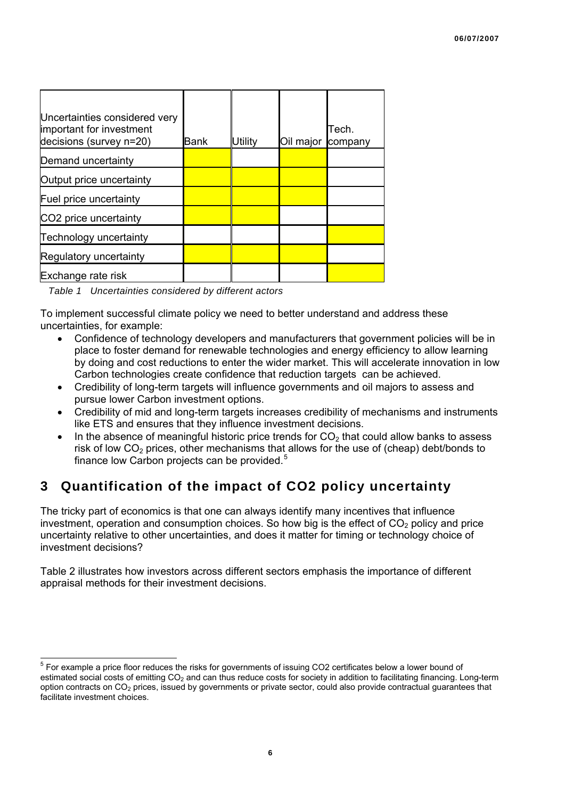| Uncertainties considered very<br>important for investment<br>decisions (survey n=20) | Bank | Utilitv | Oil major | Tech.<br>company |
|--------------------------------------------------------------------------------------|------|---------|-----------|------------------|
| Demand uncertainty                                                                   |      |         |           |                  |
| Output price uncertainty                                                             |      |         |           |                  |
| Fuel price uncertainty                                                               |      |         |           |                  |
| CO <sub>2</sub> price uncertainty                                                    |      |         |           |                  |
| Technology uncertainty                                                               |      |         |           |                  |
| Regulatory uncertainty                                                               |      |         |           |                  |
| Exchange rate risk                                                                   |      |         |           |                  |

*Table 1 Uncertainties considered by different actors* 

<span id="page-5-0"></span>To implement successful climate policy we need to better understand and address these uncertainties, for example:

- Confidence of technology developers and manufacturers that government policies will be in place to foster demand for renewable technologies and energy efficiency to allow learning by doing and cost reductions to enter the wider market. This will accelerate innovation in low Carbon technologies create confidence that reduction targets can be achieved.
- Credibility of long-term targets will influence governments and oil majors to assess and pursue lower Carbon investment options.
- Credibility of mid and long-term targets increases credibility of mechanisms and instruments like ETS and ensures that they influence investment decisions.
- In the absence of meaningful historic price trends for  $CO<sub>2</sub>$  that could allow banks to assess risk of low  $CO<sub>2</sub>$  prices, other mechanisms that allows for the use of (cheap) debt/bonds to finance low Carbon projects can be provided.<sup>[5](#page-5-1)</sup>

## **3 Quantification of the impact of CO2 policy uncertainty**

The tricky part of economics is that one can always identify many incentives that influence investment, operation and consumption choices. So how big is the effect of  $CO<sub>2</sub>$  policy and price uncertainty relative to other uncertainties, and does it matter for timing or technology choice of investment decisions?

[Table 2](#page-6-0) illustrates how investors across different sectors emphasis the importance of different appraisal methods for their investment decisions.

<span id="page-5-1"></span> $5$  For example a price floor reduces the risks for governments of issuing CO2 certificates below a lower bound of estimated social costs of emitting CO<sub>2</sub> and can thus reduce costs for society in addition to facilitating financing. Long-term option contracts on  $CO<sub>2</sub>$  prices, issued by governments or private sector, could also provide contractual guarantees that facilitate investment choices.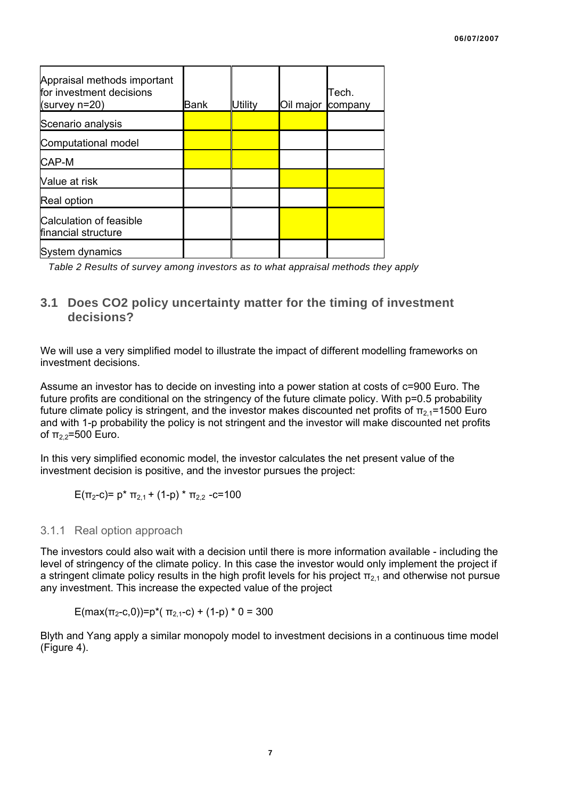| Appraisal methods important<br>for investment decisions<br>(survey $n=20$ ) | Bank | Utilitv | Oil major | Tech.<br>company |
|-----------------------------------------------------------------------------|------|---------|-----------|------------------|
| Scenario analysis                                                           |      |         |           |                  |
| Computational model                                                         |      |         |           |                  |
| CAP-M                                                                       |      |         |           |                  |
| Value at risk                                                               |      |         |           |                  |
| Real option                                                                 |      |         |           |                  |
| Calculation of feasible<br>financial structure                              |      |         |           |                  |
| System dynamics                                                             |      |         |           |                  |

<span id="page-6-0"></span>*Table 2 Results of survey among investors as to what appraisal methods they apply*

### **3.1 Does CO2 policy uncertainty matter for the timing of investment decisions?**

We will use a very simplified model to illustrate the impact of different modelling frameworks on investment decisions.

Assume an investor has to decide on investing into a power station at costs of c=900 Euro. The future profits are conditional on the stringency of the future climate policy. With p=0.5 probability future climate policy is stringent, and the investor makes discounted net profits of π<sub>2,1</sub>=1500 Euro and with 1-p probability the policy is not stringent and the investor will make discounted net profits of  $π_2$ <sub>2</sub>=500 Euro.

In this very simplified economic model, the investor calculates the net present value of the investment decision is positive, and the investor pursues the project:

E(π<sub>2</sub>-c)=  $p^*$  π<sub>2.1</sub> + (1-p)<sup>\*</sup> π<sub>2.2</sub> -c=100

#### 3.1.1 Real option approach

The investors could also wait with a decision until there is more information available - including the level of stringency of the climate policy. In this case the investor would only implement the project if a stringent climate policy results in the high profit levels for his project  $\pi_{2,1}$  and otherwise not pursue any investment. This increase the expected value of the project

E(max( $\pi_2$ -c,0))=p\*( $\pi_2$ <sub>1</sub>-c) + (1-p) \* 0 = 300

Blyth and Yang apply a similar monopoly model to investment decisions in a continuous time model [\(Figure 4\)](#page-7-0).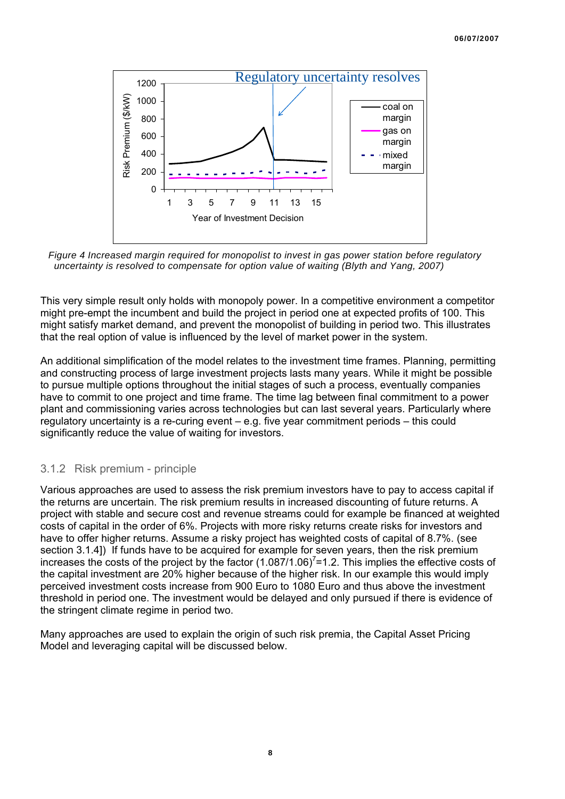

<span id="page-7-0"></span>*Figure 4 Increased margin required for monopolist to invest in gas power station before regulatory uncertainty is resolved to compensate for option value of waiting (Blyth and Yang, 2007)*

This very simple result only holds with monopoly power. In a competitive environment a competitor might pre-empt the incumbent and build the project in period one at expected profits of 100. This might satisfy market demand, and prevent the monopolist of building in period two. This illustrates that the real option of value is influenced by the level of market power in the system.

An additional simplification of the model relates to the investment time frames. Planning, permitting and constructing process of large investment projects lasts many years. While it might be possible to pursue multiple options throughout the initial stages of such a process, eventually companies have to commit to one project and time frame. The time lag between final commitment to a power plant and commissioning varies across technologies but can last several years. Particularly where regulatory uncertainty is a re-curing event – e.g. five year commitment periods – this could significantly reduce the value of waiting for investors.

#### 3.1.2 Risk premium - principle

Various approaches are used to assess the risk premium investors have to pay to access capital if the returns are uncertain. The risk premium results in increased discounting of future returns. A project with stable and secure cost and revenue streams could for example be financed at weighted costs of capital in the order of 6%. Projects with more risky returns create risks for investors and have to offer higher returns. Assume a risky project has weighted costs of capital of 8.7%, (see section 3.1.4]) If funds have to be acquired for example for seven years, then the risk premium increases the costs of the project by the factor  $(1.087/1.06)^{7}$ =1.2. This implies the effective costs of the capital investment are 20% higher because of the higher risk. In our example this would imply perceived investment costs increase from 900 Euro to 1080 Euro and thus above the investment threshold in period one. The investment would be delayed and only pursued if there is evidence of the stringent climate regime in period two.

Many approaches are used to explain the origin of such risk premia, the Capital Asset Pricing Model and leveraging capital will be discussed below.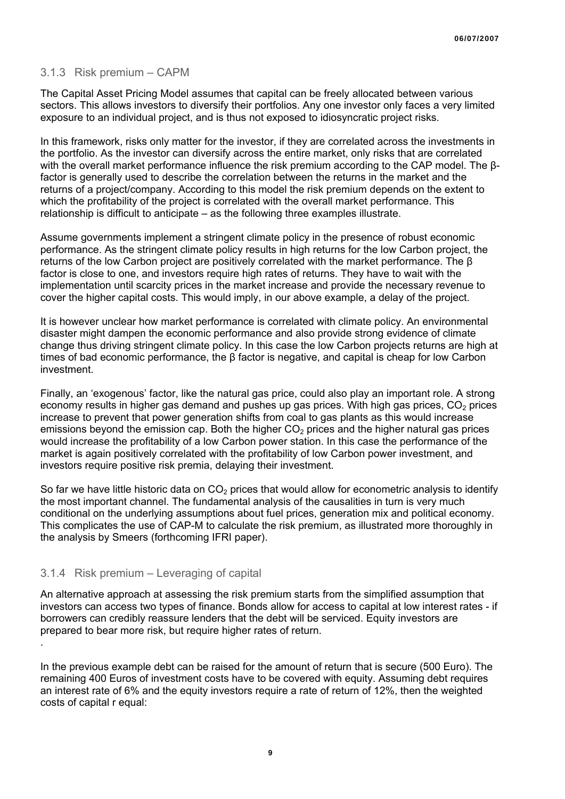#### 3.1.3 Risk premium – CAPM

The Capital Asset Pricing Model assumes that capital can be freely allocated between various sectors. This allows investors to diversify their portfolios. Any one investor only faces a very limited exposure to an individual project, and is thus not exposed to idiosyncratic project risks.

In this framework, risks only matter for the investor, if they are correlated across the investments in the portfolio. As the investor can diversify across the entire market, only risks that are correlated with the overall market performance influence the risk premium according to the CAP model. The βfactor is generally used to describe the correlation between the returns in the market and the returns of a project/company. According to this model the risk premium depends on the extent to which the profitability of the project is correlated with the overall market performance. This relationship is difficult to anticipate – as the following three examples illustrate.

Assume governments implement a stringent climate policy in the presence of robust economic performance. As the stringent climate policy results in high returns for the low Carbon project, the returns of the low Carbon project are positively correlated with the market performance. The β factor is close to one, and investors require high rates of returns. They have to wait with the implementation until scarcity prices in the market increase and provide the necessary revenue to cover the higher capital costs. This would imply, in our above example, a delay of the project.

It is however unclear how market performance is correlated with climate policy. An environmental disaster might dampen the economic performance and also provide strong evidence of climate change thus driving stringent climate policy. In this case the low Carbon projects returns are high at times of bad economic performance, the β factor is negative, and capital is cheap for low Carbon investment.

Finally, an 'exogenous' factor, like the natural gas price, could also play an important role. A strong economy results in higher gas demand and pushes up gas prices. With high gas prices,  $CO<sub>2</sub>$  prices increase to prevent that power generation shifts from coal to gas plants as this would increase emissions beyond the emission cap. Both the higher  $CO<sub>2</sub>$  prices and the higher natural gas prices would increase the profitability of a low Carbon power station. In this case the performance of the market is again positively correlated with the profitability of low Carbon power investment, and investors require positive risk premia, delaying their investment.

So far we have little historic data on  $CO<sub>2</sub>$  prices that would allow for econometric analysis to identify the most important channel. The fundamental analysis of the causalities in turn is very much conditional on the underlying assumptions about fuel prices, generation mix and political economy. This complicates the use of CAP-M to calculate the risk premium, as illustrated more thoroughly in the analysis by Smeers (forthcoming IFRI paper).

#### 3.1.4 Risk premium – Leveraging of capital

An alternative approach at assessing the risk premium starts from the simplified assumption that investors can access two types of finance. Bonds allow for access to capital at low interest rates - if borrowers can credibly reassure lenders that the debt will be serviced. Equity investors are prepared to bear more risk, but require higher rates of return. .

In the previous example debt can be raised for the amount of return that is secure (500 Euro). The remaining 400 Euros of investment costs have to be covered with equity. Assuming debt requires an interest rate of 6% and the equity investors require a rate of return of 12%, then the weighted costs of capital r equal: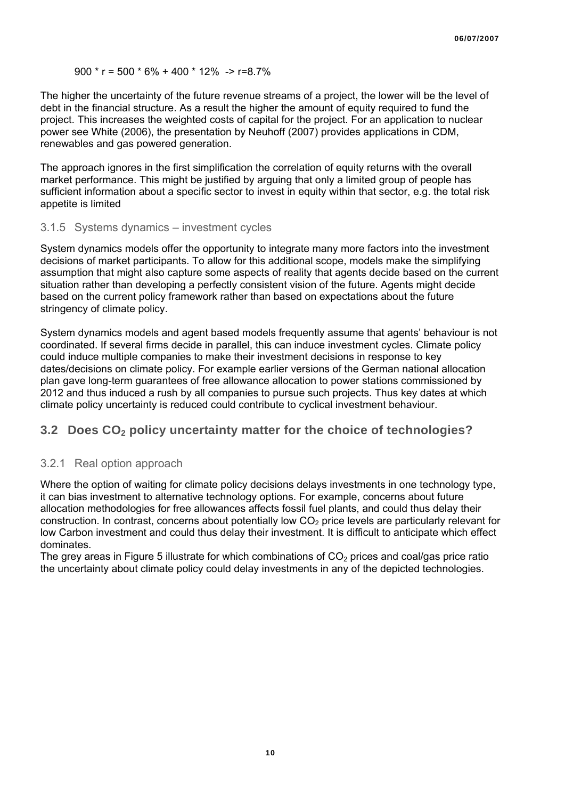#### 900 \* r = 500 \* 6% + 400 \* 12% -> r=8.7%

The higher the uncertainty of the future revenue streams of a project, the lower will be the level of debt in the financial structure. As a result the higher the amount of equity required to fund the project. This increases the weighted costs of capital for the project. For an application to nuclear power see White (2006), the presentation by Neuhoff (2007) provides applications in CDM, renewables and gas powered generation.

The approach ignores in the first simplification the correlation of equity returns with the overall market performance. This might be justified by arguing that only a limited group of people has sufficient information about a specific sector to invest in equity within that sector, e.g. the total risk appetite is limited

#### 3.1.5 Systems dynamics – investment cycles

System dynamics models offer the opportunity to integrate many more factors into the investment decisions of market participants. To allow for this additional scope, models make the simplifying assumption that might also capture some aspects of reality that agents decide based on the current situation rather than developing a perfectly consistent vision of the future. Agents might decide based on the current policy framework rather than based on expectations about the future stringency of climate policy.

System dynamics models and agent based models frequently assume that agents' behaviour is not coordinated. If several firms decide in parallel, this can induce investment cycles. Climate policy could induce multiple companies to make their investment decisions in response to key dates/decisions on climate policy. For example earlier versions of the German national allocation plan gave long-term guarantees of free allowance allocation to power stations commissioned by 2012 and thus induced a rush by all companies to pursue such projects. Thus key dates at which climate policy uncertainty is reduced could contribute to cyclical investment behaviour.

#### **3.2 Does CO<sub>2</sub> policy uncertainty matter for the choice of technologies?**

#### 3.2.1 Real option approach

Where the option of waiting for climate policy decisions delays investments in one technology type. it can bias investment to alternative technology options. For example, concerns about future allocation methodologies for free allowances affects fossil fuel plants, and could thus delay their construction. In contrast, concerns about potentially low  $CO<sub>2</sub>$  price levels are particularly relevant for low Carbon investment and could thus delay their investment. It is difficult to anticipate which effect dominates.

The grey areas in [Figure 5](#page-10-0) illustrate for which combinations of  $CO<sub>2</sub>$  prices and coal/gas price ratio the uncertainty about climate policy could delay investments in any of the depicted technologies.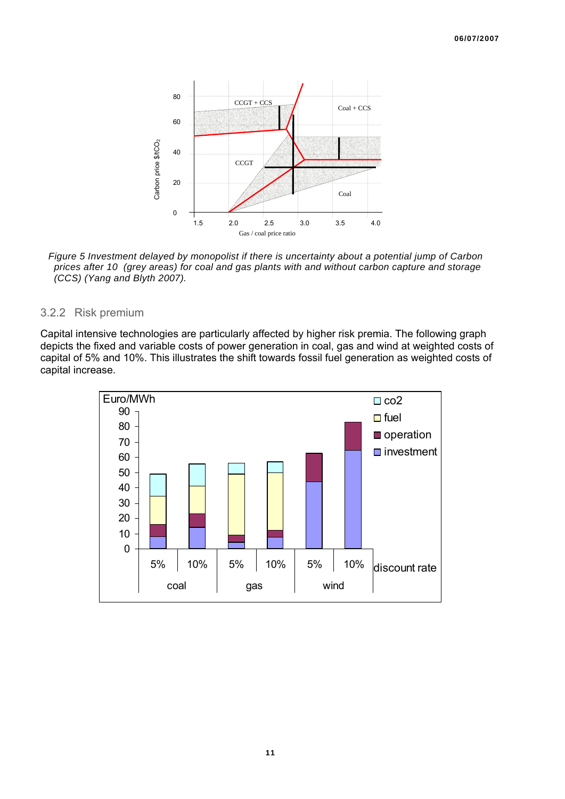

<span id="page-10-0"></span>*Figure 5 Investment delayed by monopolist if there is uncertainty about a potential jump of Carbon prices after 10 (grey areas) for coal and gas plants with and without carbon capture and storage (CCS) (Yang and Blyth 2007).* 

#### 3.2.2 Risk premium

Capital intensive technologies are particularly affected by higher risk premia. The following graph depicts the fixed and variable costs of power generation in coal, gas and wind at weighted costs of capital of 5% and 10%. This illustrates the shift towards fossil fuel generation as weighted costs of capital increase.

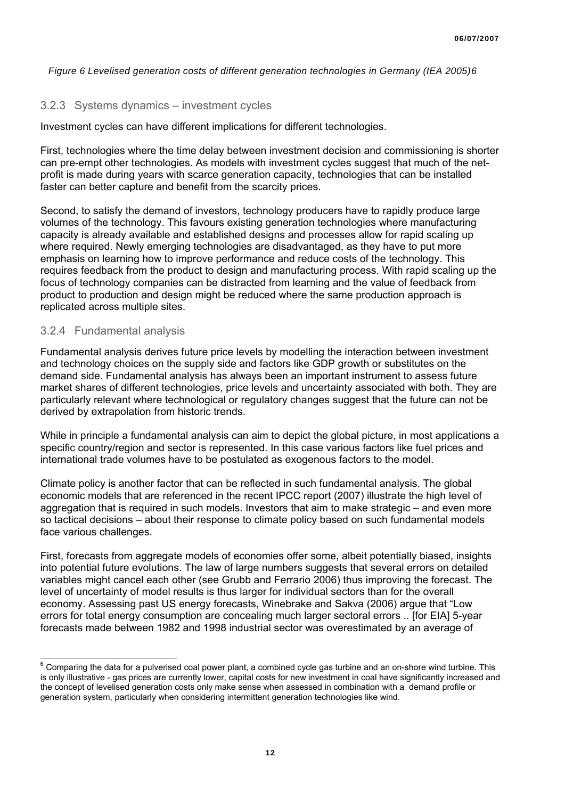*Figure 6 Levelised generation costs of different generation technologies in Germany (IEA 2005)[6](#page-11-0)*

#### 3.2.3 Systems dynamics – investment cycles

Investment cycles can have different implications for different technologies.

First, technologies where the time delay between investment decision and commissioning is shorter can pre-empt other technologies. As models with investment cycles suggest that much of the netprofit is made during years with scarce generation capacity, technologies that can be installed faster can better capture and benefit from the scarcity prices.

Second, to satisfy the demand of investors, technology producers have to rapidly produce large volumes of the technology. This favours existing generation technologies where manufacturing capacity is already available and established designs and processes allow for rapid scaling up where required. Newly emerging technologies are disadvantaged, as they have to put more emphasis on learning how to improve performance and reduce costs of the technology. This requires feedback from the product to design and manufacturing process. With rapid scaling up the focus of technology companies can be distracted from learning and the value of feedback from product to production and design might be reduced where the same production approach is replicated across multiple sites.

#### 3.2.4 Fundamental analysis

Fundamental analysis derives future price levels by modelling the interaction between investment and technology choices on the supply side and factors like GDP growth or substitutes on the demand side. Fundamental analysis has always been an important instrument to assess future market shares of different technologies, price levels and uncertainty associated with both. They are particularly relevant where technological or regulatory changes suggest that the future can not be derived by extrapolation from historic trends.

While in principle a fundamental analysis can aim to depict the global picture, in most applications a specific country/region and sector is represented. In this case various factors like fuel prices and international trade volumes have to be postulated as exogenous factors to the model.

Climate policy is another factor that can be reflected in such fundamental analysis. The global economic models that are referenced in the recent IPCC report (2007) illustrate the high level of aggregation that is required in such models. Investors that aim to make strategic – and even more so tactical decisions – about their response to climate policy based on such fundamental models face various challenges.

First, forecasts from aggregate models of economies offer some, albeit potentially biased, insights into potential future evolutions. The law of large numbers suggests that several errors on detailed variables might cancel each other (see Grubb and Ferrario 2006) thus improving the forecast. The level of uncertainty of model results is thus larger for individual sectors than for the overall economy. Assessing past US energy forecasts, Winebrake and Sakva (2006) argue that "Low errors for total energy consumption are concealing much larger sectoral errors .. [for EIA] 5-year forecasts made between 1982 and 1998 industrial sector was overestimated by an average of

<span id="page-11-0"></span>entify comparing the data for a pulverised coal power plant, a combined cycle gas turbine and an on-shore wind turbine. This endow the Comparing the data for a pulverised coal power plant, a combined cycle gas turbine and is only illustrative - gas prices are currently lower, capital costs for new investment in coal have significantly increased and the concept of levelised generation costs only make sense when assessed in combination with a demand profile or generation system, particularly when considering intermittent generation technologies like wind.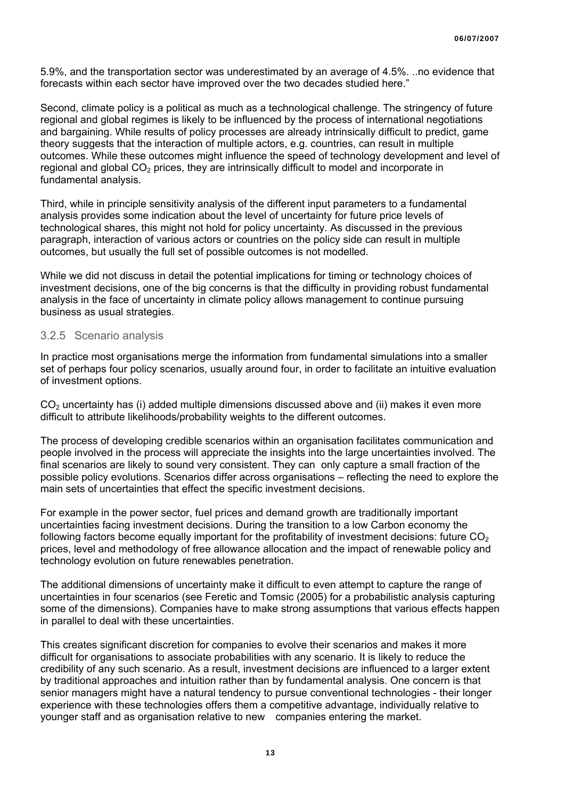5.9%, and the transportation sector was underestimated by an average of 4.5%. ..no evidence that forecasts within each sector have improved over the two decades studied here."

Second, climate policy is a political as much as a technological challenge. The stringency of future regional and global regimes is likely to be influenced by the process of international negotiations and bargaining. While results of policy processes are already intrinsically difficult to predict, game theory suggests that the interaction of multiple actors, e.g. countries, can result in multiple outcomes. While these outcomes might influence the speed of technology development and level of regional and global  $CO<sub>2</sub>$  prices, they are intrinsically difficult to model and incorporate in fundamental analysis.

Third, while in principle sensitivity analysis of the different input parameters to a fundamental analysis provides some indication about the level of uncertainty for future price levels of technological shares, this might not hold for policy uncertainty. As discussed in the previous paragraph, interaction of various actors or countries on the policy side can result in multiple outcomes, but usually the full set of possible outcomes is not modelled.

While we did not discuss in detail the potential implications for timing or technology choices of investment decisions, one of the big concerns is that the difficulty in providing robust fundamental analysis in the face of uncertainty in climate policy allows management to continue pursuing business as usual strategies.

#### 3.2.5 Scenario analysis

In practice most organisations merge the information from fundamental simulations into a smaller set of perhaps four policy scenarios, usually around four, in order to facilitate an intuitive evaluation of investment options.

CO<sub>2</sub> uncertainty has (i) added multiple dimensions discussed above and (ii) makes it even more difficult to attribute likelihoods/probability weights to the different outcomes.

The process of developing credible scenarios within an organisation facilitates communication and people involved in the process will appreciate the insights into the large uncertainties involved. The final scenarios are likely to sound very consistent. They can only capture a small fraction of the possible policy evolutions. Scenarios differ across organisations – reflecting the need to explore the main sets of uncertainties that effect the specific investment decisions.

For example in the power sector, fuel prices and demand growth are traditionally important uncertainties facing investment decisions. During the transition to a low Carbon economy the following factors become equally important for the profitability of investment decisions: future  $CO<sub>2</sub>$ prices, level and methodology of free allowance allocation and the impact of renewable policy and technology evolution on future renewables penetration.

The additional dimensions of uncertainty make it difficult to even attempt to capture the range of uncertainties in four scenarios (see Feretic and Tomsic (2005) for a probabilistic analysis capturing some of the dimensions). Companies have to make strong assumptions that various effects happen in parallel to deal with these uncertainties.

This creates significant discretion for companies to evolve their scenarios and makes it more difficult for organisations to associate probabilities with any scenario. It is likely to reduce the credibility of any such scenario. As a result, investment decisions are influenced to a larger extent by traditional approaches and intuition rather than by fundamental analysis. One concern is that senior managers might have a natural tendency to pursue conventional technologies - their longer experience with these technologies offers them a competitive advantage, individually relative to younger staff and as organisation relative to new companies entering the market.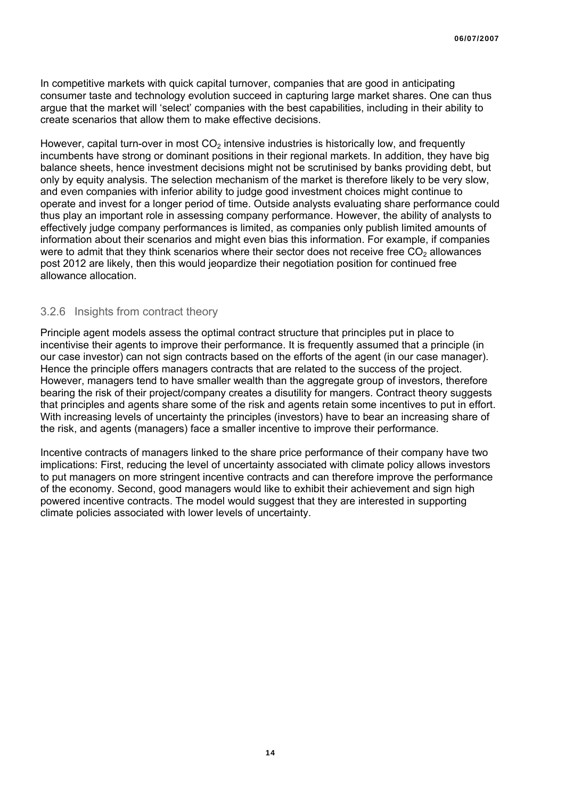In competitive markets with quick capital turnover, companies that are good in anticipating consumer taste and technology evolution succeed in capturing large market shares. One can thus argue that the market will 'select' companies with the best capabilities, including in their ability to create scenarios that allow them to make effective decisions.

However, capital turn-over in most  $CO<sub>2</sub>$  intensive industries is historically low, and frequently incumbents have strong or dominant positions in their regional markets. In addition, they have big balance sheets, hence investment decisions might not be scrutinised by banks providing debt, but only by equity analysis. The selection mechanism of the market is therefore likely to be very slow, and even companies with inferior ability to judge good investment choices might continue to operate and invest for a longer period of time. Outside analysts evaluating share performance could thus play an important role in assessing company performance. However, the ability of analysts to effectively judge company performances is limited, as companies only publish limited amounts of information about their scenarios and might even bias this information. For example, if companies were to admit that they think scenarios where their sector does not receive free  $CO<sub>2</sub>$  allowances post 2012 are likely, then this would jeopardize their negotiation position for continued free allowance allocation.

#### 3.2.6 Insights from contract theory

Principle agent models assess the optimal contract structure that principles put in place to incentivise their agents to improve their performance. It is frequently assumed that a principle (in our case investor) can not sign contracts based on the efforts of the agent (in our case manager). Hence the principle offers managers contracts that are related to the success of the project. However, managers tend to have smaller wealth than the aggregate group of investors, therefore bearing the risk of their project/company creates a disutility for mangers. Contract theory suggests that principles and agents share some of the risk and agents retain some incentives to put in effort. With increasing levels of uncertainty the principles (investors) have to bear an increasing share of the risk, and agents (managers) face a smaller incentive to improve their performance.

Incentive contracts of managers linked to the share price performance of their company have two implications: First, reducing the level of uncertainty associated with climate policy allows investors to put managers on more stringent incentive contracts and can therefore improve the performance of the economy. Second, good managers would like to exhibit their achievement and sign high powered incentive contracts. The model would suggest that they are interested in supporting climate policies associated with lower levels of uncertainty.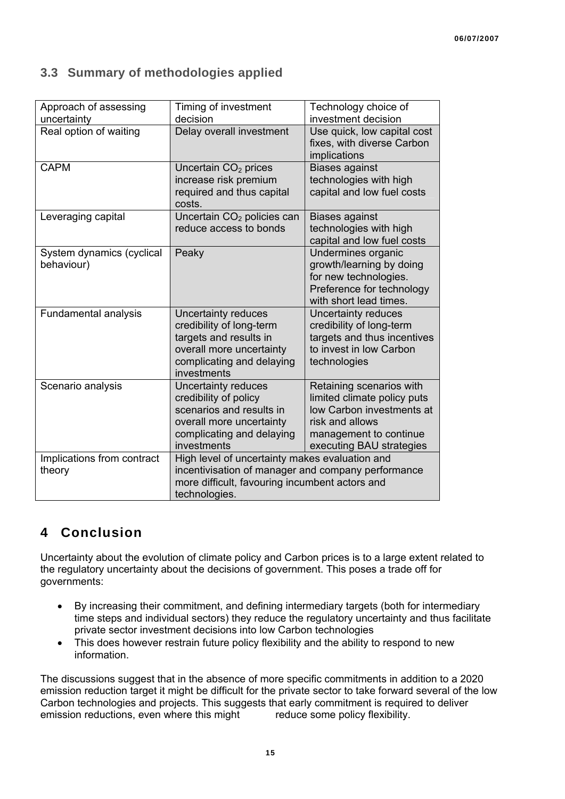## **3.3 Summary of methodologies applied**

| Approach of assessing<br>uncertainty    | Timing of investment<br>decision                                                                                                                                        | Technology choice of<br>investment decision                                                                                                                   |  |  |
|-----------------------------------------|-------------------------------------------------------------------------------------------------------------------------------------------------------------------------|---------------------------------------------------------------------------------------------------------------------------------------------------------------|--|--|
| Real option of waiting                  | Delay overall investment                                                                                                                                                | Use quick, low capital cost<br>fixes, with diverse Carbon<br>implications                                                                                     |  |  |
| <b>CAPM</b>                             | Uncertain $CO2$ prices<br>increase risk premium<br>required and thus capital<br>costs.                                                                                  | <b>Biases against</b><br>technologies with high<br>capital and low fuel costs                                                                                 |  |  |
| Leveraging capital                      | Uncertain CO <sub>2</sub> policies can<br>reduce access to bonds                                                                                                        | <b>Biases against</b><br>technologies with high<br>capital and low fuel costs                                                                                 |  |  |
| System dynamics (cyclical<br>behaviour) | Peaky                                                                                                                                                                   | Undermines organic<br>growth/learning by doing<br>for new technologies.<br>Preference for technology<br>with short lead times.                                |  |  |
| Fundamental analysis                    | Uncertainty reduces<br>credibility of long-term<br>targets and results in<br>overall more uncertainty<br>complicating and delaying<br>investments                       | Uncertainty reduces<br>credibility of long-term<br>targets and thus incentives<br>to invest in low Carbon<br>technologies                                     |  |  |
| Scenario analysis                       | Uncertainty reduces<br>credibility of policy<br>scenarios and results in<br>overall more uncertainty<br>complicating and delaying<br>investments                        | Retaining scenarios with<br>limited climate policy puts<br>low Carbon investments at<br>risk and allows<br>management to continue<br>executing BAU strategies |  |  |
| Implications from contract<br>theory    | High level of uncertainty makes evaluation and<br>incentivisation of manager and company performance<br>more difficult, favouring incumbent actors and<br>technologies. |                                                                                                                                                               |  |  |

## **4 Conclusion**

Uncertainty about the evolution of climate policy and Carbon prices is to a large extent related to the regulatory uncertainty about the decisions of government. This poses a trade off for governments:

- By increasing their commitment, and defining intermediary targets (both for intermediary time steps and individual sectors) they reduce the regulatory uncertainty and thus facilitate private sector investment decisions into low Carbon technologies
- This does however restrain future policy flexibility and the ability to respond to new information.

The discussions suggest that in the absence of more specific commitments in addition to a 2020 emission reduction target it might be difficult for the private sector to take forward several of the low Carbon technologies and projects. This suggests that early commitment is required to deliver emission reductions, even where this might reduce some policy flexibility.